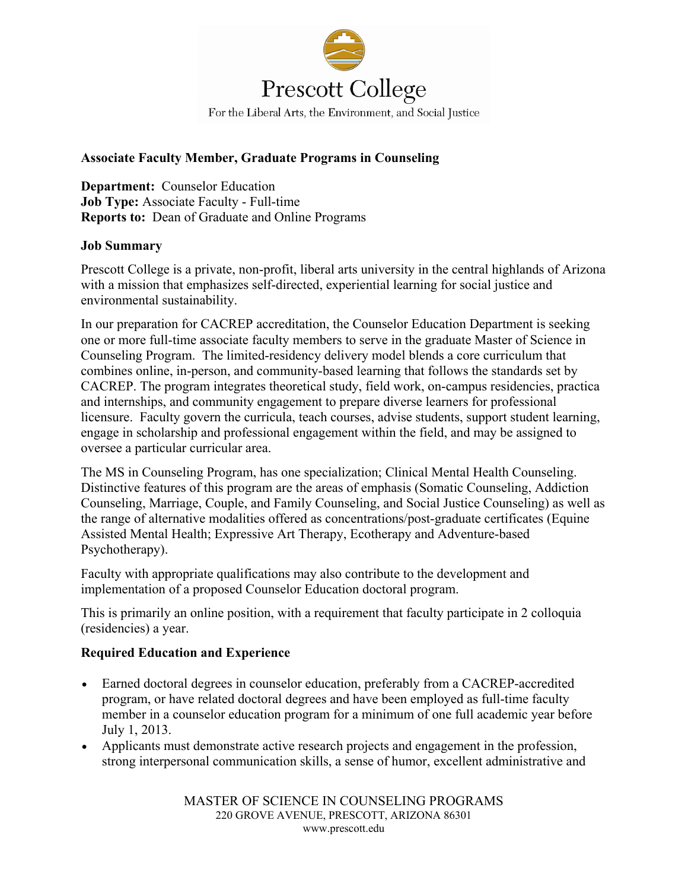

## **Associate Faculty Member, Graduate Programs in Counseling**

**Department:** Counselor Education **Job Type:** Associate Faculty - Full-time **Reports to:** Dean of Graduate and Online Programs

## **Job Summary**

Prescott College is a private, non-profit, liberal arts university in the central highlands of Arizona with a mission that emphasizes self-directed, experiential learning for social justice and environmental sustainability.

In our preparation for CACREP accreditation, the Counselor Education Department is seeking one or more full-time associate faculty members to serve in the graduate Master of Science in Counseling Program. The limited-residency delivery model blends a core curriculum that combines online, in-person, and community-based learning that follows the standards set by CACREP. The program integrates theoretical study, field work, on-campus residencies, practica and internships, and community engagement to prepare diverse learners for professional licensure. Faculty govern the curricula, teach courses, advise students, support student learning, engage in scholarship and professional engagement within the field, and may be assigned to oversee a particular curricular area.

The MS in Counseling Program, has one specialization; Clinical Mental Health Counseling. Distinctive features of this program are the areas of emphasis (Somatic Counseling, Addiction Counseling, Marriage, Couple, and Family Counseling, and Social Justice Counseling) as well as the range of alternative modalities offered as concentrations/post-graduate certificates (Equine Assisted Mental Health; Expressive Art Therapy, Ecotherapy and Adventure-based Psychotherapy).

Faculty with appropriate qualifications may also contribute to the development and implementation of a proposed Counselor Education doctoral program.

This is primarily an online position, with a requirement that faculty participate in 2 colloquia (residencies) a year.

## **Required Education and Experience**

- Earned doctoral degrees in counselor education, preferably from a CACREP-accredited program, or have related doctoral degrees and have been employed as full-time faculty member in a counselor education program for a minimum of one full academic year before July 1, 2013.
- Applicants must demonstrate active research projects and engagement in the profession, strong interpersonal communication skills, a sense of humor, excellent administrative and

MASTER OF SCIENCE IN COUNSELING PROGRAMS 220 GROVE AVENUE, PRESCOTT, ARIZONA 86301 www.prescott.edu